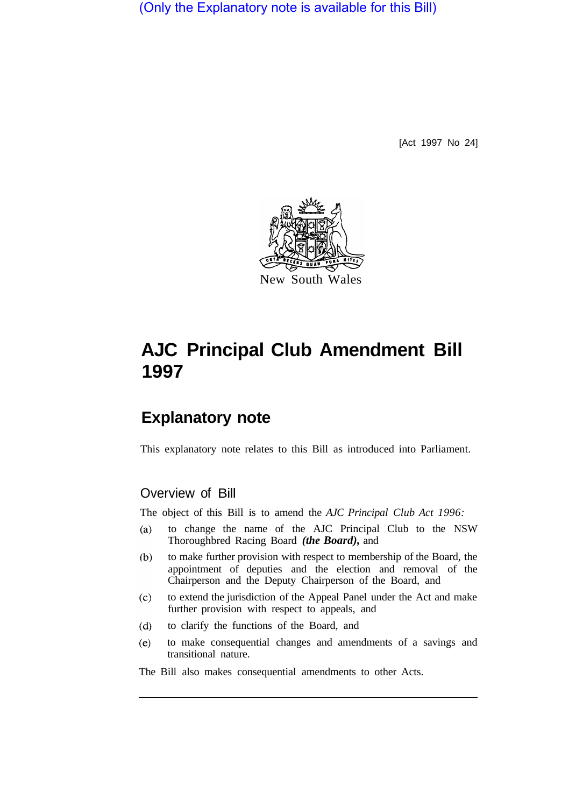(Only the Explanatory note is available for this Bill)

[Act 1997 No 24]



# **AJC Principal Club Amendment Bill 1997**

# **Explanatory note**

This explanatory note relates to this Bill as introduced into Parliament.

### Overview of Bill

The object of this Bill is to amend the *AJC Principal Club Act 1996:* 

- to change the name of the AJC Principal Club to the NSW  $(a)$ Thoroughbred Racing Board *(the Board),* and
- $(b)$ to make further provision with respect to membership of the Board, the appointment of deputies and the election and removal of the Chairperson and the Deputy Chairperson of the Board, and
- $(c)$ to extend the jurisdiction of the Appeal Panel under the Act and make further provision with respect to appeals, and
- $(d)$ to clarify the functions of the Board, and
- $(e)$ to make consequential changes and amendments of a savings and transitional nature.

The Bill also makes consequential amendments to other Acts.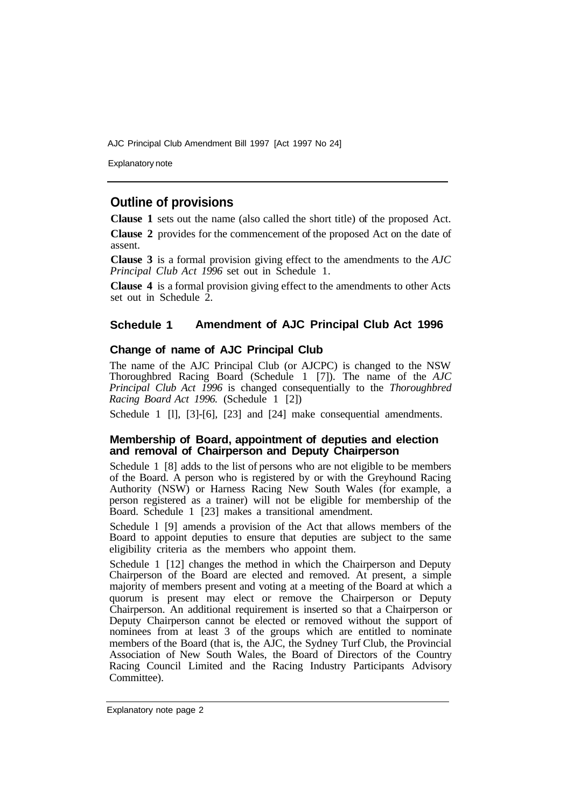AJC Principal Club Amendment Bill 1997 [Act 1997 No 24]

Explanatory note

## **Outline of provisions**

**Clause 1** sets out the name (also called the short title) of the proposed Act.

**Clause 2** provides for the commencement of the proposed Act on the date of assent.

**Clause 3** is a formal provision giving effect to the amendments to the *AJC Principal Club Act 1996* set out in Schedule 1.

**Clause 4** is a formal provision giving effect to the amendments to other Acts set out in Schedule  $\hat{2}$ .

#### **Schedule 1 Amendment of AJC Principal Club Act 1996**

#### **Change of name of AJC Principal Club**

The name of the AJC Principal Club (or AJCPC) is changed to the NSW Thoroughbred Racing Board (Schedule 1 [7]). The name of the *AJC Principal Club Act 1996* is changed consequentially to the *Thoroughbred Racing Board Act 1996.* (Schedule 1 [2])

Schedule 1 [1], [3]-[6], [23] and [24] make consequential amendments.

#### **Membership of Board, appointment of deputies and election and removal of Chairperson and Deputy Chairperson**

Schedule 1 [8] adds to the list of persons who are not eligible to be members of the Board. A person who is registered by or with the Greyhound Racing Authority (NSW) or Harness Racing New South Wales (for example, a person registered as a trainer) will not be eligible for membership of the Board. Schedule 1 [23] makes a transitional amendment.

Schedule l [9] amends a provision of the Act that allows members of the Board to appoint deputies to ensure that deputies are subject to the same eligibility criteria as the members who appoint them.

Schedule 1 [12] changes the method in which the Chairperson and Deputy Chairperson of the Board are elected and removed. At present, a simple majority of members present and voting at a meeting of the Board at which a quorum is present may elect or remove the Chairperson or Deputy Chairperson. An additional requirement is inserted so that a Chairperson or Deputy Chairperson cannot be elected or removed without the support of nominees from at least 3 of the groups which are entitled to nominate members of the Board (that is, the AJC, the Sydney Turf Club, the Provincial Association of New South Wales, the Board of Directors of the Country Racing Council Limited and the Racing Industry Participants Advisory Committee).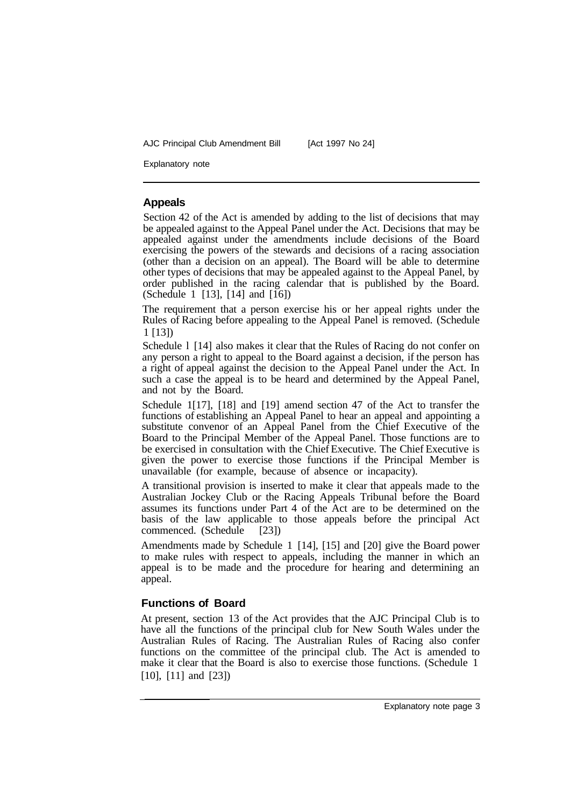AJC Principal Club Amendment Bill [Act 1997 No 24]

Explanatory note

#### **Appeals**

Section 42 of the Act is amended by adding to the list of decisions that may be appealed against to the Appeal Panel under the Act. Decisions that may be appealed against under the amendments include decisions of the Board exercising the powers of the stewards and decisions of a racing association (other than a decision on an appeal). The Board will be able to determine other types of decisions that may be appealed against to the Appeal Panel, by order published in the racing calendar that is published by the Board. (Schedule 1 [13], [14] and [16])

The requirement that a person exercise his or her appeal rights under the Rules of Racing before appealing to the Appeal Panel is removed. (Schedule 1 [13])

Schedule 1 [14] also makes it clear that the Rules of Racing do not confer on any person a right to appeal to the Board against a decision, if the person has a right of appeal against the decision to the Appeal Panel under the Act. In such a case the appeal is to be heard and determined by the Appeal Panel, and not by the Board.

Schedule 1[17], [18] and [19] amend section 47 of the Act to transfer the functions of establishing an Appeal Panel to hear an appeal and appointing a substitute convenor of an Appeal Panel from the Chief Executive of the Board to the Principal Member of the Appeal Panel. Those functions are to be exercised in consultation with the Chief Executive. The Chief Executive is given the power to exercise those functions if the Principal Member is unavailable (for example, because of absence or incapacity).

A transitional provision is inserted to make it clear that appeals made to the Australian Jockey Club or the Racing Appeals Tribunal before the Board assumes its functions under Part 4 of the Act are to be determined on the basis of the law applicable to those appeals before the principal Act commenced. (Schedule [23])

Amendments made by Schedule 1 [14], [15] and [20] give the Board power to make rules with respect to appeals, including the manner in which an appeal is to be made and the procedure for hearing and determining an appeal.

#### **Functions of Board**

At present, section 13 of the Act provides that the AJC Principal Club is to have all the functions of the principal club for New South Wales under the Australian Rules of Racing. The Australian Rules of Racing also confer functions on the committee of the principal club. The Act is amended to make it clear that the Board is also to exercise those functions. (Schedule 1 [10], [11] and [23])